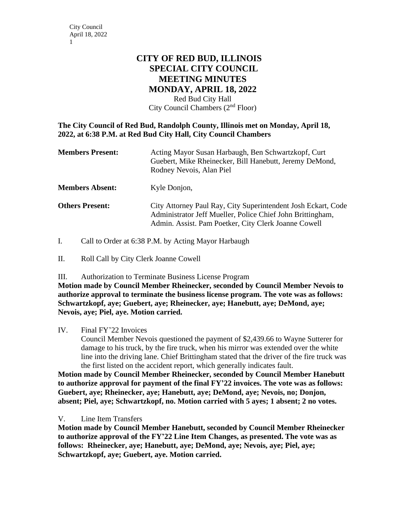# **CITY OF RED BUD, ILLINOIS SPECIAL CITY COUNCIL MEETING MINUTES MONDAY, APRIL 18, 2022**

Red Bud City Hall City Council Chambers (2nd Floor)

# **The City Council of Red Bud, Randolph County, Illinois met on Monday, April 18, 2022, at 6:38 P.M. at Red Bud City Hall, City Council Chambers**

| <b>Members Present:</b> | Acting Mayor Susan Harbaugh, Ben Schwartzkopf, Curt<br>Guebert, Mike Rheinecker, Bill Hanebutt, Jeremy DeMond,<br>Rodney Nevois, Alan Piel                                          |
|-------------------------|-------------------------------------------------------------------------------------------------------------------------------------------------------------------------------------|
| <b>Members Absent:</b>  | Kyle Donjon,                                                                                                                                                                        |
| <b>Others Present:</b>  | City Attorney Paul Ray, City Superintendent Josh Eckart, Code<br>Administrator Jeff Mueller, Police Chief John Brittingham,<br>Admin. Assist. Pam Poetker, City Clerk Joanne Cowell |

I. Call to Order at 6:38 P.M. by Acting Mayor Harbaugh

II. Roll Call by City Clerk Joanne Cowell

III. Authorization to Terminate Business License Program

**Motion made by Council Member Rheinecker, seconded by Council Member Nevois to authorize approval to terminate the business license program. The vote was as follows: Schwartzkopf, aye; Guebert, aye; Rheinecker, aye; Hanebutt, aye; DeMond, aye; Nevois, aye; Piel, aye. Motion carried.**

# IV. Final FY'22 Invoices

Council Member Nevois questioned the payment of \$2,439.66 to Wayne Sutterer for damage to his truck, by the fire truck, when his mirror was extended over the white line into the driving lane. Chief Brittingham stated that the driver of the fire truck was the first listed on the accident report, which generally indicates fault.

**Motion made by Council Member Rheinecker, seconded by Council Member Hanebutt to authorize approval for payment of the final FY'22 invoices. The vote was as follows: Guebert, aye; Rheinecker, aye; Hanebutt, aye; DeMond, aye; Nevois, no; Donjon, absent; Piel, aye; Schwartzkopf, no. Motion carried with 5 ayes; 1 absent; 2 no votes.**

# V. Line Item Transfers

**Motion made by Council Member Hanebutt, seconded by Council Member Rheinecker to authorize approval of the FY'22 Line Item Changes, as presented. The vote was as follows: Rheinecker, aye; Hanebutt, aye; DeMond, aye; Nevois, aye; Piel, aye; Schwartzkopf, aye; Guebert, aye. Motion carried.**